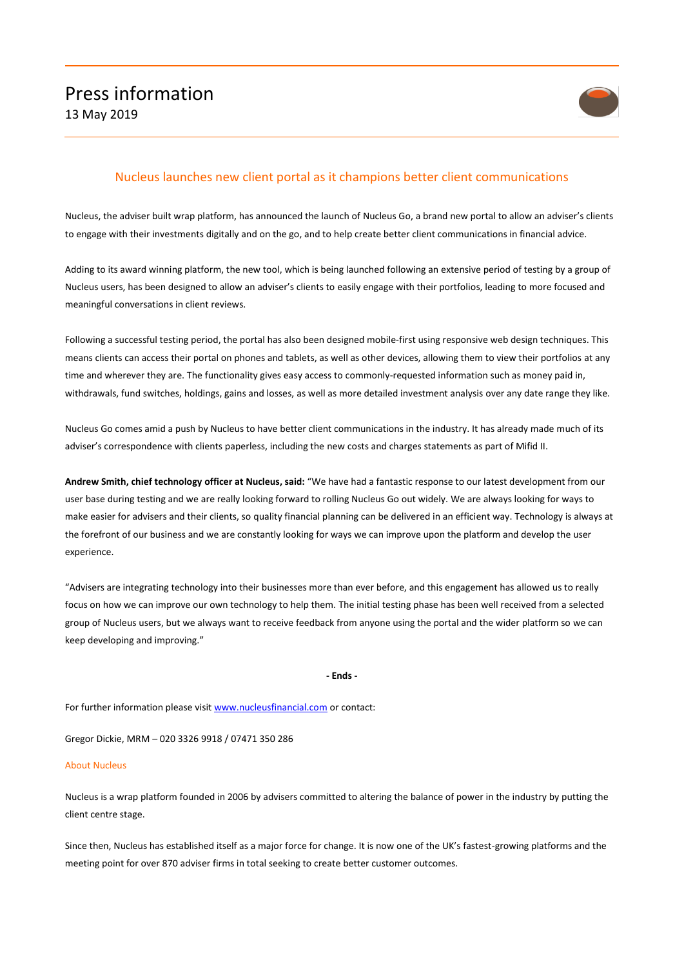

## Nucleus launches new client portal as it champions better client communications

Nucleus, the adviser built wrap platform, has announced the launch of Nucleus Go, a brand new portal to allow an adviser's clients to engage with their investments digitally and on the go, and to help create better client communications in financial advice.

Adding to its award winning platform, the new tool, which is being launched following an extensive period of testing by a group of Nucleus users, has been designed to allow an adviser's clients to easily engage with their portfolios, leading to more focused and meaningful conversations in client reviews.

Following a successful testing period, the portal has also been designed mobile-first using responsive web design techniques. This means clients can access their portal on phones and tablets, as well as other devices, allowing them to view their portfolios at any time and wherever they are. The functionality gives easy access to commonly-requested information such as money paid in, withdrawals, fund switches, holdings, gains and losses, as well as more detailed investment analysis over any date range they like.

Nucleus Go comes amid a push by Nucleus to have better client communications in the industry. It has already made much of its adviser's correspondence with clients paperless, including the new costs and charges statements as part of Mifid II.

**Andrew Smith, chief technology officer at Nucleus, said:** "We have had a fantastic response to our latest development from our user base during testing and we are really looking forward to rolling Nucleus Go out widely. We are always looking for ways to make easier for advisers and their clients, so quality financial planning can be delivered in an efficient way. Technology is always at the forefront of our business and we are constantly looking for ways we can improve upon the platform and develop the user experience.

"Advisers are integrating technology into their businesses more than ever before, and this engagement has allowed us to really focus on how we can improve our own technology to help them. The initial testing phase has been well received from a selected group of Nucleus users, but we always want to receive feedback from anyone using the portal and the wider platform so we can keep developing and improving."

## **- Ends -**

For further information please visi[t www.nucleusfinancial.com](http://www.nucleusfinancial.com/) or contact:

Gregor Dickie, MRM – 020 3326 9918 / 07471 350 286

## About Nucleus

Nucleus is a wrap platform founded in 2006 by advisers committed to altering the balance of power in the industry by putting the client centre stage.

Since then, Nucleus has established itself as a major force for change. It is now one of the UK's fastest-growing platforms and the meeting point for over 870 adviser firms in total seeking to create better customer outcomes.